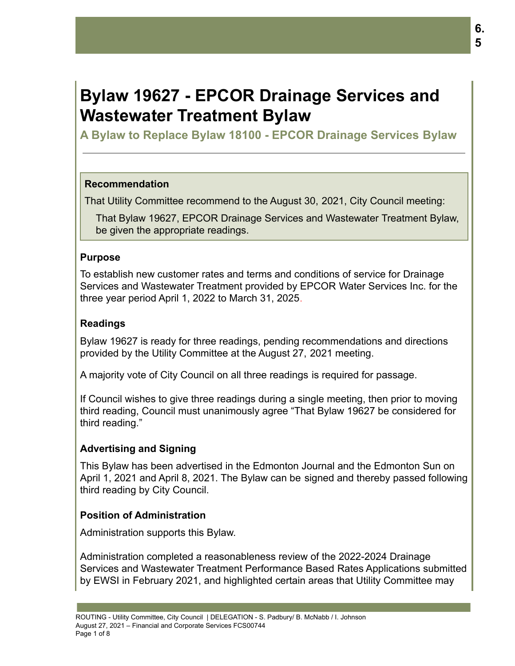# **Bylaw 19627 - EPCOR Drainage Services and Wastewater Treatment Bylaw**

**A Bylaw to Replace Bylaw 18100 - EPCOR Drainage Services Bylaw**

## **Recommendation**

That Utility Committee recommend to the August 30, 2021, City Council meeting:

That Bylaw 19627, EPCOR Drainage Services and Wastewater Treatment Bylaw, be given the appropriate readings.

## **Purpose**

To establish new customer rates and terms and conditions of service for Drainage Services and Wastewater Treatment provided by EPCOR Water Services Inc. for the three year period April 1, 2022 to March 31, 2025.

# **Readings**

Bylaw 19627 is ready for three readings, pending recommendations and directions provided by the Utility Committee at the August 27, 2021 meeting.

A majority vote of City Council on all three readings is required for passage.

If Council wishes to give three readings during a single meeting, then prior to moving third reading, Council must unanimously agree "That Bylaw 19627 be considered for third reading."

# **Advertising and Signing**

This Bylaw has been advertised in the Edmonton Journal and the Edmonton Sun on April 1, 2021 and April 8, 2021. The Bylaw can be signed and thereby passed following third reading by City Council.

# **Position of Administration**

Administration supports this Bylaw.

Administration completed a reasonableness review of the 2022-2024 Drainage Services and Wastewater Treatment Performance Based Rates Applications submitted by EWSI in February 2021, and highlighted certain areas that Utility Committee may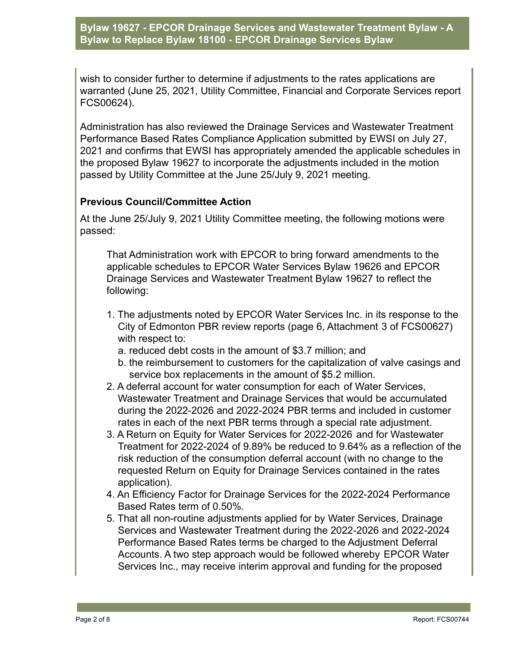wish to consider further to determine if adjustments to the rates applications are warranted (June 25, 2021, Utility Committee, Financial and Corporate Services report FCS00624).

Administration has also reviewed the Drainage Services and Wastewater Treatment Performance Based Rates Compliance Application submitted by EWSI on July 27, 2021 and confirms that EWSI has appropriately amended the applicable schedules in the proposed Bylaw 19627 to incorporate the adjustments included in the motion passed by Utility Committee at the June 25/July 9, 2021 meeting.

## **Previous Council/Committee Action**

At the June 25/July 9, 2021 Utility Committee meeting, the following motions were passed:

That Administration work with EPCOR to bring forward amendments to the applicable schedules to EPCOR Water Services Bylaw 19626 and EPCOR Drainage Services and Wastewater Treatment Bylaw 19627 to reflect the following:

- 1. The adjustments noted by EPCOR Water Services Inc. in its response to the City of Edmonton PBR review reports (page 6, Attachment 3 of FCS00627) with respect to:
	- a. reduced debt costs in the amount of \$3.7 million; and
	- b. the reimbursement to customers for the capitalization of valve casings and service box replacements in the amount of \$5.2 million.
- 2. A deferral account for water consumption for each of Water Services, Wastewater Treatment and Drainage Services that would be accumulated during the 2022-2026 and 2022-2024 PBR terms and included in customer rates in each of the next PBR terms through a special rate adjustment.
- 3. A Return on Equity for Water Services for 2022-2026 and for Wastewater Treatment for 2022-2024 of 9.89% be reduced to 9.64% as a reflection of the risk reduction of the consumption deferral account (with no change to the requested Return on Equity for Drainage Services contained in the rates application).
- 4. An Efficiency Factor for Drainage Services for the 2022-2024 Performance Based Rates term of 0.50%.
- 5. That all non-routine adjustments applied for by Water Services, Drainage Services and Wastewater Treatment during the 2022-2026 and 2022-2024 Performance Based Rates terms be charged to the Adjustment Deferral Accounts. A two step approach would be followed whereby EPCOR Water Services Inc., may receive interim approval and funding for the proposed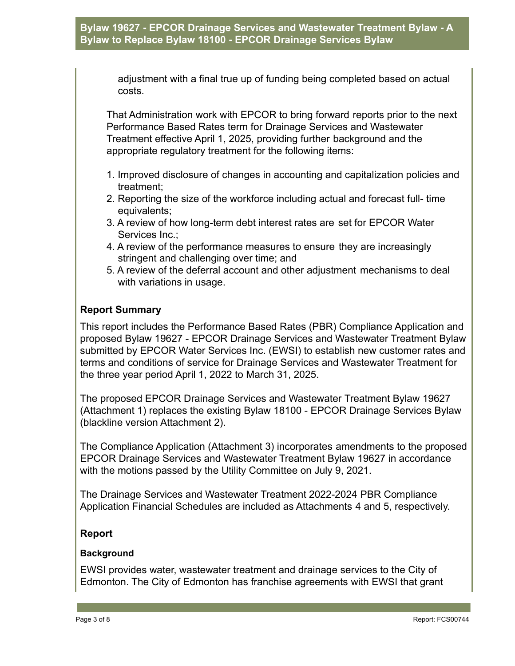adjustment with a final true up of funding being completed based on actual costs.

That Administration work with EPCOR to bring forward reports prior to the next Performance Based Rates term for Drainage Services and Wastewater Treatment effective April 1, 2025, providing further background and the appropriate regulatory treatment for the following items:

- 1. Improved disclosure of changes in accounting and capitalization policies and treatment;
- 2. Reporting the size of the workforce including actual and forecast full- time equivalents;
- 3. A review of how long-term debt interest rates are set for EPCOR Water Services Inc.;
- 4. A review of the performance measures to ensure they are increasingly stringent and challenging over time; and
- 5. A review of the deferral account and other adjustment mechanisms to deal with variations in usage.

## **Report Summary**

This report includes the Performance Based Rates (PBR) Compliance Application and proposed Bylaw 19627 - EPCOR Drainage Services and Wastewater Treatment Bylaw submitted by EPCOR Water Services Inc. (EWSI) to establish new customer rates and terms and conditions of service for Drainage Services and Wastewater Treatment for the three year period April 1, 2022 to March 31, 2025.

The proposed EPCOR Drainage Services and Wastewater Treatment Bylaw 19627 (Attachment 1) replaces the existing Bylaw 18100 - EPCOR Drainage Services Bylaw (blackline version Attachment 2).

The Compliance Application (Attachment 3) incorporates amendments to the proposed EPCOR Drainage Services and Wastewater Treatment Bylaw 19627 in accordance with the motions passed by the Utility Committee on July 9, 2021.

The Drainage Services and Wastewater Treatment 2022-2024 PBR Compliance Application Financial Schedules are included as Attachments 4 and 5, respectively.

#### **Report**

#### **Background**

EWSI provides water, wastewater treatment and drainage services to the City of Edmonton. The City of Edmonton has franchise agreements with EWSI that grant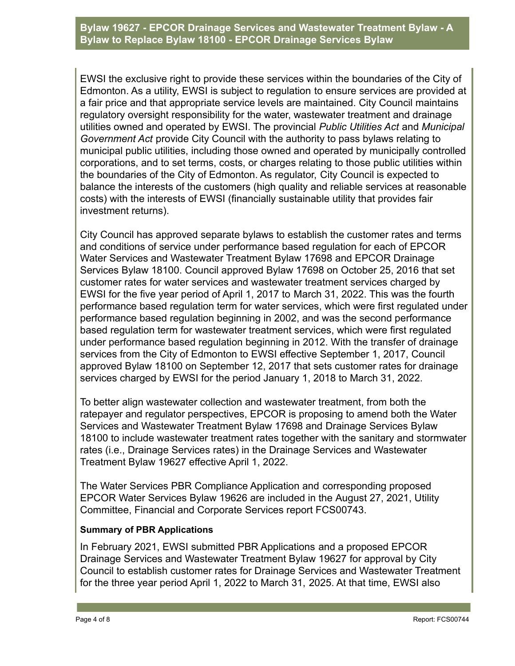EWSI the exclusive right to provide these services within the boundaries of the City of Edmonton. As a utility, EWSI is subject to regulation to ensure services are provided at a fair price and that appropriate service levels are maintained. City Council maintains regulatory oversight responsibility for the water, wastewater treatment and drainage utilities owned and operated by EWSI. The provincial *Public Utilities Act* and *Municipal Government Act* provide City Council with the authority to pass bylaws relating to municipal public utilities, including those owned and operated by municipally controlled corporations, and to set terms, costs, or charges relating to those public utilities within the boundaries of the City of Edmonton. As regulator, City Council is expected to balance the interests of the customers (high quality and reliable services at reasonable costs) with the interests of EWSI (financially sustainable utility that provides fair investment returns).

City Council has approved separate bylaws to establish the customer rates and terms and conditions of service under performance based regulation for each of EPCOR Water Services and Wastewater Treatment Bylaw 17698 and EPCOR Drainage Services Bylaw 18100. Council approved Bylaw 17698 on October 25, 2016 that set customer rates for water services and wastewater treatment services charged by EWSI for the five year period of April 1, 2017 to March 31, 2022. This was the fourth performance based regulation term for water services, which were first regulated under performance based regulation beginning in 2002, and was the second performance based regulation term for wastewater treatment services, which were first regulated under performance based regulation beginning in 2012. With the transfer of drainage services from the City of Edmonton to EWSI effective September 1, 2017, Council approved Bylaw 18100 on September 12, 2017 that sets customer rates for drainage services charged by EWSI for the period January 1, 2018 to March 31, 2022.

To better align wastewater collection and wastewater treatment, from both the ratepayer and regulator perspectives, EPCOR is proposing to amend both the Water Services and Wastewater Treatment Bylaw 17698 and Drainage Services Bylaw 18100 to include wastewater treatment rates together with the sanitary and stormwater rates (i.e., Drainage Services rates) in the Drainage Services and Wastewater Treatment Bylaw 19627 effective April 1, 2022.

The Water Services PBR Compliance Application and corresponding proposed EPCOR Water Services Bylaw 19626 are included in the August 27, 2021, Utility Committee, Financial and Corporate Services report FCS00743.

#### **Summary of PBR Applications**

In February 2021, EWSI submitted PBR Applications and a proposed EPCOR Drainage Services and Wastewater Treatment Bylaw 19627 for approval by City Council to establish customer rates for Drainage Services and Wastewater Treatment for the three year period April 1, 2022 to March 31, 2025. At that time, EWSI also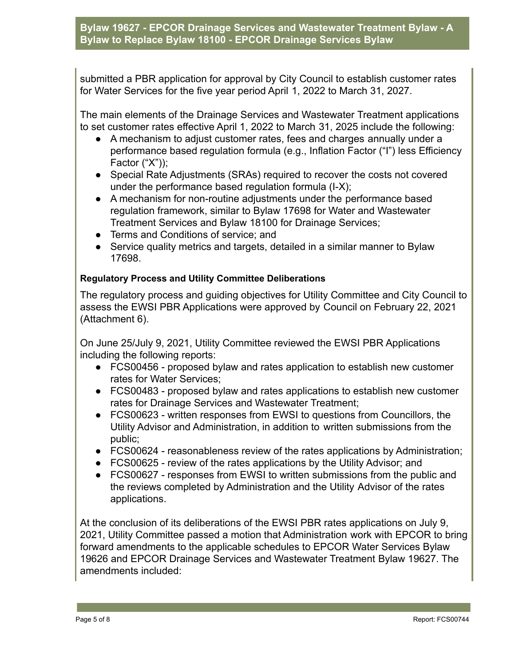submitted a PBR application for approval by City Council to establish customer rates for Water Services for the five year period April 1, 2022 to March 31, 2027.

The main elements of the Drainage Services and Wastewater Treatment applications to set customer rates effective April 1, 2022 to March 31, 2025 include the following:

- A mechanism to adjust customer rates, fees and charges annually under a performance based regulation formula (e.g., Inflation Factor ("I") less Efficiency Factor ("X"));
- Special Rate Adjustments (SRAs) required to recover the costs not covered under the performance based regulation formula (I-X);
- A mechanism for non-routine adjustments under the performance based regulation framework, similar to Bylaw 17698 for Water and Wastewater Treatment Services and Bylaw 18100 for Drainage Services;
- Terms and Conditions of service; and
- Service quality metrics and targets, detailed in a similar manner to Bylaw 17698.

#### **Regulatory Process and Utility Committee Deliberations**

The regulatory process and guiding objectives for Utility Committee and City Council to assess the EWSI PBR Applications were approved by Council on February 22, 2021 (Attachment 6).

On June 25/July 9, 2021, Utility Committee reviewed the EWSI PBR Applications including the following reports:

- FCS00456 proposed bylaw and rates application to establish new customer rates for Water Services;
- FCS00483 proposed bylaw and rates applications to establish new customer rates for Drainage Services and Wastewater Treatment;
- FCS00623 written responses from EWSI to questions from Councillors, the Utility Advisor and Administration, in addition to written submissions from the public;
- FCS00624 reasonableness review of the rates applications by Administration;
- FCS00625 review of the rates applications by the Utility Advisor; and
- FCS00627 responses from EWSI to written submissions from the public and the reviews completed by Administration and the Utility Advisor of the rates applications.

At the conclusion of its deliberations of the EWSI PBR rates applications on July 9, 2021, Utility Committee passed a motion that Administration work with EPCOR to bring forward amendments to the applicable schedules to EPCOR Water Services Bylaw 19626 and EPCOR Drainage Services and Wastewater Treatment Bylaw 19627. The amendments included: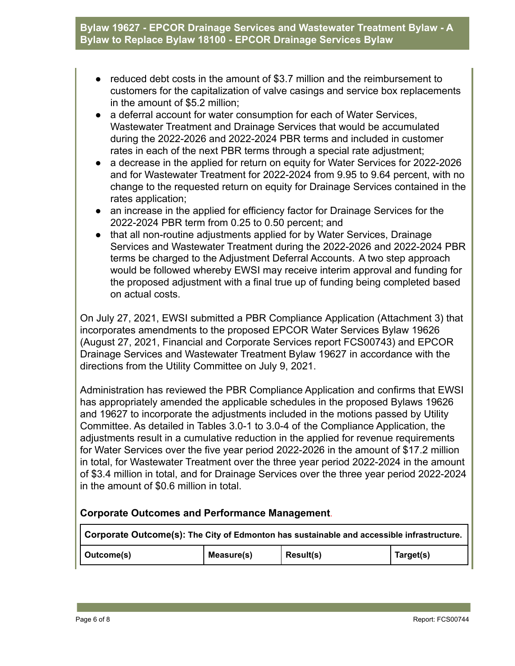- reduced debt costs in the amount of \$3.7 million and the reimbursement to customers for the capitalization of valve casings and service box replacements in the amount of \$5.2 million;
- a deferral account for water consumption for each of Water Services, Wastewater Treatment and Drainage Services that would be accumulated during the 2022-2026 and 2022-2024 PBR terms and included in customer rates in each of the next PBR terms through a special rate adjustment;
- a decrease in the applied for return on equity for Water Services for 2022-2026 and for Wastewater Treatment for 2022-2024 from 9.95 to 9.64 percent, with no change to the requested return on equity for Drainage Services contained in the rates application;
- an increase in the applied for efficiency factor for Drainage Services for the 2022-2024 PBR term from 0.25 to 0.50 percent; and
- that all non-routine adjustments applied for by Water Services, Drainage Services and Wastewater Treatment during the 2022-2026 and 2022-2024 PBR terms be charged to the Adjustment Deferral Accounts. A two step approach would be followed whereby EWSI may receive interim approval and funding for the proposed adjustment with a final true up of funding being completed based on actual costs.

On July 27, 2021, EWSI submitted a PBR Compliance Application (Attachment 3) that incorporates amendments to the proposed EPCOR Water Services Bylaw 19626 (August 27, 2021, Financial and Corporate Services report FCS00743) and EPCOR Drainage Services and Wastewater Treatment Bylaw 19627 in accordance with the directions from the Utility Committee on July 9, 2021.

Administration has reviewed the PBR Compliance Application and confirms that EWSI has appropriately amended the applicable schedules in the proposed Bylaws 19626 and 19627 to incorporate the adjustments included in the motions passed by Utility Committee. As detailed in Tables 3.0-1 to 3.0-4 of the Compliance Application, the adjustments result in a cumulative reduction in the applied for revenue requirements for Water Services over the five year period 2022-2026 in the amount of \$17.2 million in total, for Wastewater Treatment over the three year period 2022-2024 in the amount of \$3.4 million in total, and for Drainage Services over the three year period 2022-2024 in the amount of \$0.6 million in total.

# **Corporate Outcomes and Performance Management**.

| $\overline{a}$ Corporate Outcome(s): The City of Edmonton has sustainable and accessible infrastructure. |            |           |           |  |
|----------------------------------------------------------------------------------------------------------|------------|-----------|-----------|--|
| Outcome(s)                                                                                               | Measure(s) | Result(s) | Target(s) |  |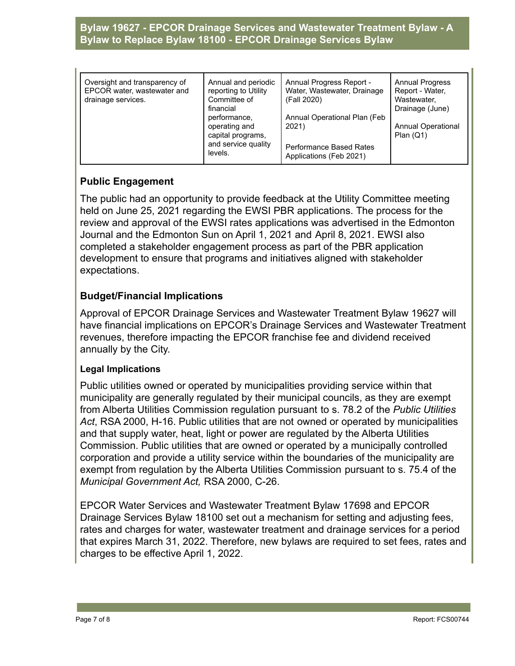| Oversight and transparency of<br>EPCOR water, wastewater and<br>drainage services. | Annual and periodic<br>reporting to Utility<br>Committee of<br>financial<br>performance,<br>operating and<br>capital programs,<br>and service quality | Annual Progress Report -<br>Water, Wastewater, Drainage<br>(Fall 2020)<br>Annual Operational Plan (Feb<br>2021) | <b>Annual Progress</b><br>Report - Water,<br>Wastewater,<br>Drainage (June)<br><b>Annual Operational</b><br>Plan $(Q1)$ |
|------------------------------------------------------------------------------------|-------------------------------------------------------------------------------------------------------------------------------------------------------|-----------------------------------------------------------------------------------------------------------------|-------------------------------------------------------------------------------------------------------------------------|
|                                                                                    | levels.                                                                                                                                               | Performance Based Rates<br>Applications (Feb 2021)                                                              |                                                                                                                         |

# **Public Engagement**

The public had an opportunity to provide feedback at the Utility Committee meeting held on June 25, 2021 regarding the EWSI PBR applications. The process for the review and approval of the EWSI rates applications was advertised in the Edmonton Journal and the Edmonton Sun on April 1, 2021 and April 8, 2021. EWSI also completed a stakeholder engagement process as part of the PBR application development to ensure that programs and initiatives aligned with stakeholder expectations.

# **Budget/Financial Implications**

Approval of EPCOR Drainage Services and Wastewater Treatment Bylaw 19627 will have financial implications on EPCOR's Drainage Services and Wastewater Treatment revenues, therefore impacting the EPCOR franchise fee and dividend received annually by the City.

#### **Legal Implications**

Public utilities owned or operated by municipalities providing service within that municipality are generally regulated by their municipal councils, as they are exempt from Alberta Utilities Commission regulation pursuant to s. 78.2 of the *Public Utilities Act*, RSA 2000, H-16. Public utilities that are not owned or operated by municipalities and that supply water, heat, light or power are regulated by the Alberta Utilities Commission. Public utilities that are owned or operated by a municipally controlled corporation and provide a utility service within the boundaries of the municipality are exempt from regulation by the Alberta Utilities Commission pursuant to s. 75.4 of the *Municipal Government Act,* RSA 2000, C-26.

EPCOR Water Services and Wastewater Treatment Bylaw 17698 and EPCOR Drainage Services Bylaw 18100 set out a mechanism for setting and adjusting fees, rates and charges for water, wastewater treatment and drainage services for a period that expires March 31, 2022. Therefore, new bylaws are required to set fees, rates and charges to be effective April 1, 2022.